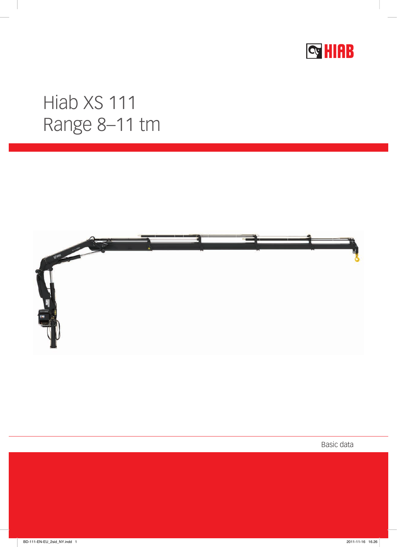

## Hiab XS 111 Range 8-11 tm



Basic data